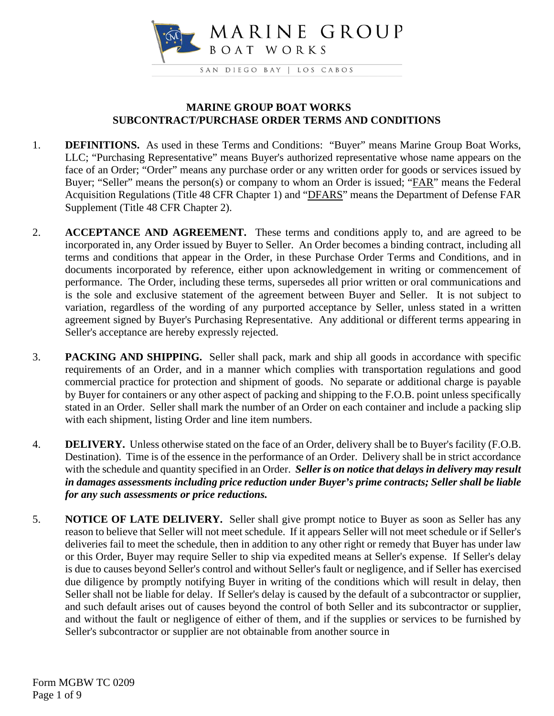

## **MARINE GROUP BOAT WORKS SUBCONTRACT/PURCHASE ORDER TERMS AND CONDITIONS**

- 1. **DEFINITIONS.** As used in these Terms and Conditions: "Buyer" means Marine Group Boat Works, LLC; "Purchasing Representative" means Buyer's authorized representative whose name appears on the face of an Order; "Order" means any purchase order or any written order for goods or services issued by Buyer; "Seller" means the person(s) or company to whom an Order is issued; "FAR" means the Federal Acquisition Regulations (Title 48 CFR Chapter 1) and "DFARS" means the Department of Defense FAR Supplement (Title 48 CFR Chapter 2).
- 2. **ACCEPTANCE AND AGREEMENT.** These terms and conditions apply to, and are agreed to be incorporated in, any Order issued by Buyer to Seller. An Order becomes a binding contract, including all terms and conditions that appear in the Order, in these Purchase Order Terms and Conditions, and in documents incorporated by reference, either upon acknowledgement in writing or commencement of performance. The Order, including these terms, supersedes all prior written or oral communications and is the sole and exclusive statement of the agreement between Buyer and Seller. It is not subject to variation, regardless of the wording of any purported acceptance by Seller, unless stated in a written agreement signed by Buyer's Purchasing Representative. Any additional or different terms appearing in Seller's acceptance are hereby expressly rejected.
- 3. **PACKING AND SHIPPING.** Seller shall pack, mark and ship all goods in accordance with specific requirements of an Order, and in a manner which complies with transportation regulations and good commercial practice for protection and shipment of goods. No separate or additional charge is payable by Buyer for containers or any other aspect of packing and shipping to the F.O.B. point unless specifically stated in an Order. Seller shall mark the number of an Order on each container and include a packing slip with each shipment, listing Order and line item numbers.
- 4. **DELIVERY.** Unless otherwise stated on the face of an Order, delivery shall be to Buyer's facility (F.O.B. Destination). Time is of the essence in the performance of an Order. Delivery shall be in strict accordance with the schedule and quantity specified in an Order. *Seller is on notice that delays in delivery may result in damages assessments including price reduction under Buyer's prime contracts; Seller shall be liable for any such assessments or price reductions.*
- 5. **NOTICE OF LATE DELIVERY.** Seller shall give prompt notice to Buyer as soon as Seller has any reason to believe that Seller will not meet schedule.If it appears Seller will not meet schedule or if Seller's deliveries fail to meet the schedule, then in addition to any other right or remedy that Buyer has under law or this Order, Buyer may require Seller to ship via expedited means at Seller's expense. If Seller's delay is due to causes beyond Seller's control and without Seller's fault or negligence, and if Seller has exercised due diligence by promptly notifying Buyer in writing of the conditions which will result in delay, then Seller shall not be liable for delay. If Seller's delay is caused by the default of a subcontractor or supplier, and such default arises out of causes beyond the control of both Seller and its subcontractor or supplier, and without the fault or negligence of either of them, and if the supplies or services to be furnished by Seller's subcontractor or supplier are not obtainable from another source in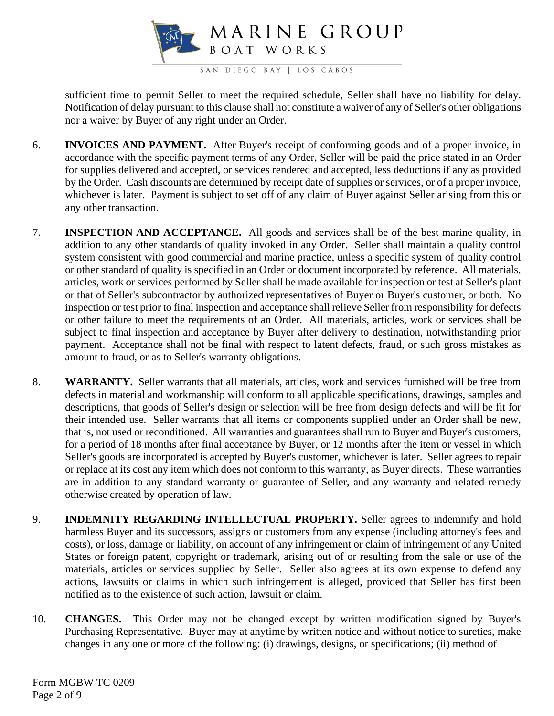

sufficient time to permit Seller to meet the required schedule, Seller shall have no liability for delay. Notification of delay pursuant to this clause shall not constitute a waiver of any of Seller's other obligations nor a waiver by Buyer of any right under an Order.

- 6. **INVOICES AND PAYMENT.** After Buyer's receipt of conforming goods and of a proper invoice, in accordance with the specific payment terms of any Order, Seller will be paid the price stated in an Order for supplies delivered and accepted, or services rendered and accepted, less deductions if any as provided by the Order. Cash discounts are determined by receipt date of supplies or services, or of a proper invoice, whichever is later. Payment is subject to set off of any claim of Buyer against Seller arising from this or any other transaction.
- 7. **INSPECTION AND ACCEPTANCE.** All goods and services shall be of the best marine quality, in addition to any other standards of quality invoked in any Order. Seller shall maintain a quality control system consistent with good commercial and marine practice, unless a specific system of quality control or other standard of quality is specified in an Order or document incorporated by reference. All materials, articles, work or services performed by Seller shall be made available for inspection or test at Seller's plant or that of Seller's subcontractor by authorized representatives of Buyer or Buyer's customer, or both. No inspection or test prior to final inspection and acceptance shall relieve Seller from responsibility for defects or other failure to meet the requirements of an Order. All materials, articles, work or services shall be subject to final inspection and acceptance by Buyer after delivery to destination, notwithstanding prior payment. Acceptance shall not be final with respect to latent defects, fraud, or such gross mistakes as amount to fraud, or as to Seller's warranty obligations.
- 8. **WARRANTY.** Seller warrants that all materials, articles, work and services furnished will be free from defects in material and workmanship will conform to all applicable specifications, drawings, samples and descriptions, that goods of Seller's design or selection will be free from design defects and will be fit for their intended use. Seller warrants that all items or components supplied under an Order shall be new, that is, not used or reconditioned. All warranties and guarantees shall run to Buyer and Buyer's customers, for a period of 18 months after final acceptance by Buyer, or 12 months after the item or vessel in which Seller's goods are incorporated is accepted by Buyer's customer, whichever is later. Seller agrees to repair or replace at its cost any item which does not conform to this warranty, as Buyer directs. These warranties are in addition to any standard warranty or guarantee of Seller, and any warranty and related remedy otherwise created by operation of law.
- 9. **INDEMNITY REGARDING INTELLECTUAL PROPERTY.** Seller agrees to indemnify and hold harmless Buyer and its successors, assigns or customers from any expense (including attorney's fees and costs), or loss, damage or liability, on account of any infringement or claim of infringement of any United States or foreign patent, copyright or trademark, arising out of or resulting from the sale or use of the materials, articles or services supplied by Seller. Seller also agrees at its own expense to defend any actions, lawsuits or claims in which such infringement is alleged, provided that Seller has first been notified as to the existence of such action, lawsuit or claim.
- 10. **CHANGES.** This Order may not be changed except by written modification signed by Buyer's Purchasing Representative. Buyer may at anytime by written notice and without notice to sureties, make changes in any one or more of the following: (i) drawings, designs, or specifications; (ii) method of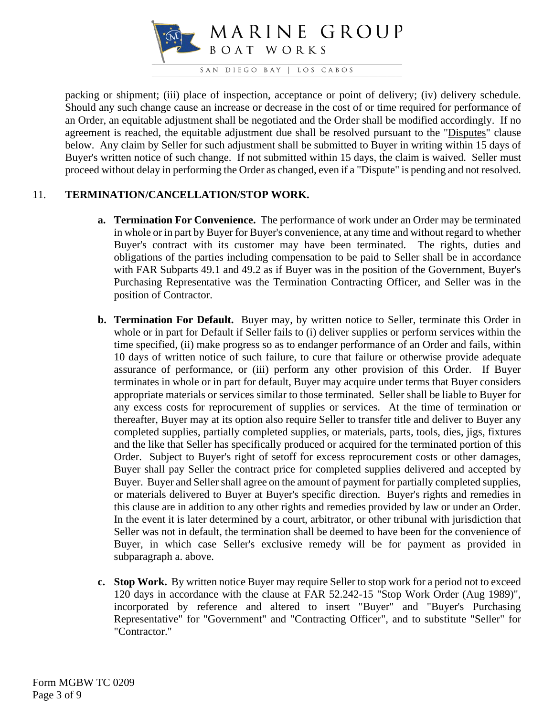

packing or shipment; (iii) place of inspection, acceptance or point of delivery; (iv) delivery schedule. Should any such change cause an increase or decrease in the cost of or time required for performance of an Order, an equitable adjustment shall be negotiated and the Order shall be modified accordingly. If no agreement is reached, the equitable adjustment due shall be resolved pursuant to the "Disputes" clause below. Any claim by Seller for such adjustment shall be submitted to Buyer in writing within 15 days of Buyer's written notice of such change. If not submitted within 15 days, the claim is waived. Seller must proceed without delay in performing the Order as changed, even if a "Dispute" is pending and not resolved.

## 11. **TERMINATION/CANCELLATION/STOP WORK.**

- **a. Termination For Convenience.** The performance of work under an Order may be terminated in whole or in part by Buyer for Buyer's convenience, at any time and without regard to whether Buyer's contract with its customer may have been terminated. The rights, duties and obligations of the parties including compensation to be paid to Seller shall be in accordance with FAR Subparts 49.1 and 49.2 as if Buyer was in the position of the Government, Buyer's Purchasing Representative was the Termination Contracting Officer, and Seller was in the position of Contractor.
- **b. Termination For Default.** Buyer may, by written notice to Seller, terminate this Order in whole or in part for Default if Seller fails to (i) deliver supplies or perform services within the time specified, (ii) make progress so as to endanger performance of an Order and fails, within 10 days of written notice of such failure, to cure that failure or otherwise provide adequate assurance of performance, or (iii) perform any other provision of this Order. If Buyer terminates in whole or in part for default, Buyer may acquire under terms that Buyer considers appropriate materials or services similar to those terminated. Seller shall be liable to Buyer for any excess costs for reprocurement of supplies or services. At the time of termination or thereafter, Buyer may at its option also require Seller to transfer title and deliver to Buyer any completed supplies, partially completed supplies, or materials, parts, tools, dies, jigs, fixtures and the like that Seller has specifically produced or acquired for the terminated portion of this Order. Subject to Buyer's right of setoff for excess reprocurement costs or other damages, Buyer shall pay Seller the contract price for completed supplies delivered and accepted by Buyer. Buyer and Seller shall agree on the amount of payment for partially completed supplies, or materials delivered to Buyer at Buyer's specific direction. Buyer's rights and remedies in this clause are in addition to any other rights and remedies provided by law or under an Order. In the event it is later determined by a court, arbitrator, or other tribunal with jurisdiction that Seller was not in default, the termination shall be deemed to have been for the convenience of Buyer, in which case Seller's exclusive remedy will be for payment as provided in subparagraph a. above.
- **c. Stop Work.** By written notice Buyer may require Seller to stop work for a period not to exceed 120 days in accordance with the clause at FAR 52.242-15 "Stop Work Order (Aug 1989)", incorporated by reference and altered to insert "Buyer" and "Buyer's Purchasing Representative" for "Government" and "Contracting Officer", and to substitute "Seller" for "Contractor."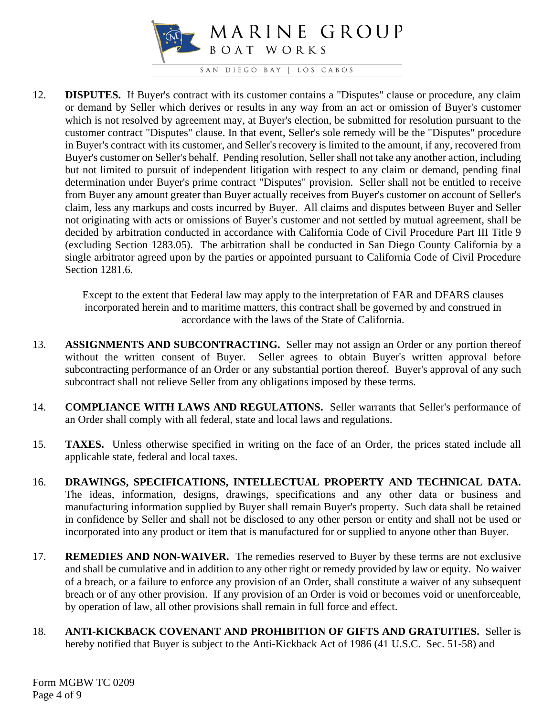

12. **DISPUTES.** If Buyer's contract with its customer contains a "Disputes" clause or procedure, any claim or demand by Seller which derives or results in any way from an act or omission of Buyer's customer which is not resolved by agreement may, at Buyer's election, be submitted for resolution pursuant to the customer contract "Disputes" clause. In that event, Seller's sole remedy will be the "Disputes" procedure in Buyer's contract with its customer, and Seller's recovery is limited to the amount, if any, recovered from Buyer's customer on Seller's behalf. Pending resolution, Seller shall not take any another action, including but not limited to pursuit of independent litigation with respect to any claim or demand, pending final determination under Buyer's prime contract "Disputes" provision. Seller shall not be entitled to receive from Buyer any amount greater than Buyer actually receives from Buyer's customer on account of Seller's claim, less any markups and costs incurred by Buyer. All claims and disputes between Buyer and Seller not originating with acts or omissions of Buyer's customer and not settled by mutual agreement, shall be decided by arbitration conducted in accordance with California Code of Civil Procedure Part III Title 9 (excluding Section 1283.05). The arbitration shall be conducted in San Diego County California by a single arbitrator agreed upon by the parties or appointed pursuant to California Code of Civil Procedure Section 1281.6.

Except to the extent that Federal law may apply to the interpretation of FAR and DFARS clauses incorporated herein and to maritime matters, this contract shall be governed by and construed in accordance with the laws of the State of California.

- 13. **ASSIGNMENTS AND SUBCONTRACTING.** Seller may not assign an Order or any portion thereof without the written consent of Buyer. Seller agrees to obtain Buyer's written approval before subcontracting performance of an Order or any substantial portion thereof. Buyer's approval of any such subcontract shall not relieve Seller from any obligations imposed by these terms.
- 14. **COMPLIANCE WITH LAWS AND REGULATIONS.** Seller warrants that Seller's performance of an Order shall comply with all federal, state and local laws and regulations.
- 15. **TAXES.** Unless otherwise specified in writing on the face of an Order, the prices stated include all applicable state, federal and local taxes.
- 16. **DRAWINGS, SPECIFICATIONS, INTELLECTUAL PROPERTY AND TECHNICAL DATA.**  The ideas, information, designs, drawings, specifications and any other data or business and manufacturing information supplied by Buyer shall remain Buyer's property. Such data shall be retained in confidence by Seller and shall not be disclosed to any other person or entity and shall not be used or incorporated into any product or item that is manufactured for or supplied to anyone other than Buyer.
- 17. **REMEDIES AND NON-WAIVER.** The remedies reserved to Buyer by these terms are not exclusive and shall be cumulative and in addition to any other right or remedy provided by law or equity. No waiver of a breach, or a failure to enforce any provision of an Order, shall constitute a waiver of any subsequent breach or of any other provision. If any provision of an Order is void or becomes void or unenforceable, by operation of law, all other provisions shall remain in full force and effect.
- 18. **ANTI-KICKBACK COVENANT AND PROHIBITION OF GIFTS AND GRATUITIES.** Seller is hereby notified that Buyer is subject to the Anti-Kickback Act of 1986 (41 U.S.C. Sec. 51-58) and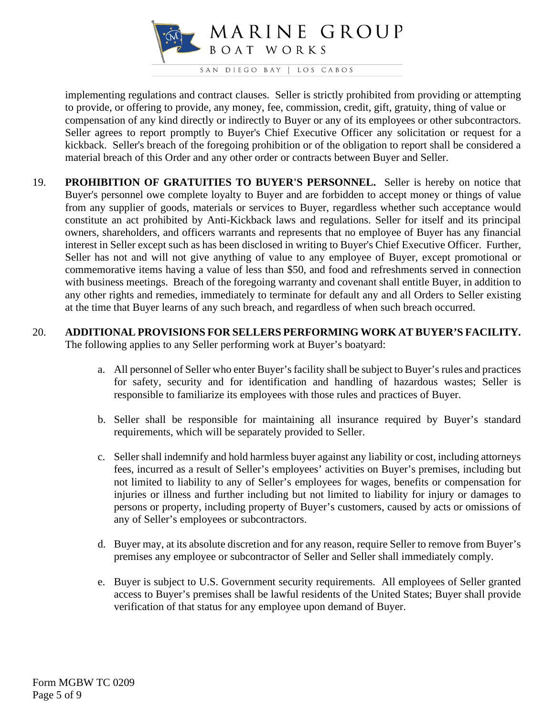

implementing regulations and contract clauses. Seller is strictly prohibited from providing or attempting to provide, or offering to provide, any money, fee, commission, credit, gift, gratuity, thing of value or compensation of any kind directly or indirectly to Buyer or any of its employees or other subcontractors. Seller agrees to report promptly to Buyer's Chief Executive Officer any solicitation or request for a kickback. Seller's breach of the foregoing prohibition or of the obligation to report shall be considered a material breach of this Order and any other order or contracts between Buyer and Seller.

- 19. **PROHIBITION OF GRATUITIES TO BUYER'S PERSONNEL.** Seller is hereby on notice that Buyer's personnel owe complete loyalty to Buyer and are forbidden to accept money or things of value from any supplier of goods, materials or services to Buyer, regardless whether such acceptance would constitute an act prohibited by Anti-Kickback laws and regulations. Seller for itself and its principal owners, shareholders, and officers warrants and represents that no employee of Buyer has any financial interest in Seller except such as has been disclosed in writing to Buyer's Chief Executive Officer. Further, Seller has not and will not give anything of value to any employee of Buyer, except promotional or commemorative items having a value of less than \$50, and food and refreshments served in connection with business meetings. Breach of the foregoing warranty and covenant shall entitle Buyer, in addition to any other rights and remedies, immediately to terminate for default any and all Orders to Seller existing at the time that Buyer learns of any such breach, and regardless of when such breach occurred.
- 20. **ADDITIONAL PROVISIONS FOR SELLERS PERFORMING WORK AT BUYER'S FACILITY.** The following applies to any Seller performing work at Buyer's boatyard:
	- a. All personnel of Seller who enter Buyer's facility shall be subject to Buyer's rules and practices for safety, security and for identification and handling of hazardous wastes; Seller is responsible to familiarize its employees with those rules and practices of Buyer.
	- b. Seller shall be responsible for maintaining all insurance required by Buyer's standard requirements, which will be separately provided to Seller.
	- c. Seller shall indemnify and hold harmless buyer against any liability or cost, including attorneys fees, incurred as a result of Seller's employees' activities on Buyer's premises, including but not limited to liability to any of Seller's employees for wages, benefits or compensation for injuries or illness and further including but not limited to liability for injury or damages to persons or property, including property of Buyer's customers, caused by acts or omissions of any of Seller's employees or subcontractors.
	- d. Buyer may, at its absolute discretion and for any reason, require Seller to remove from Buyer's premises any employee or subcontractor of Seller and Seller shall immediately comply.
	- e. Buyer is subject to U.S. Government security requirements. All employees of Seller granted access to Buyer's premises shall be lawful residents of the United States; Buyer shall provide verification of that status for any employee upon demand of Buyer.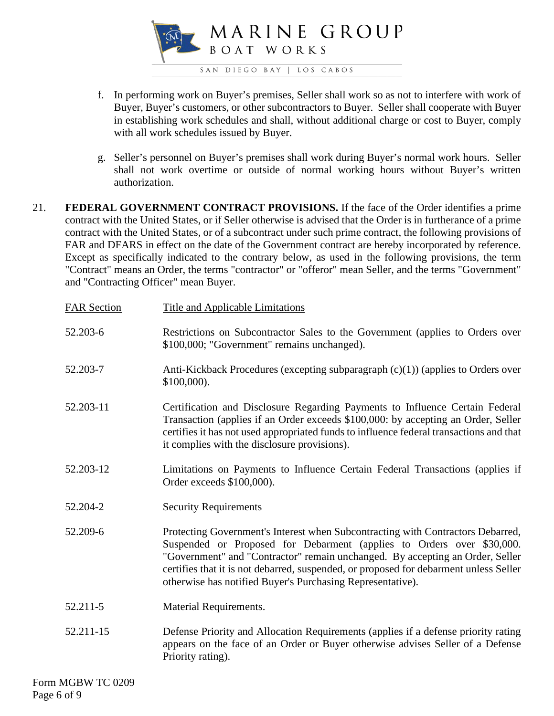

- f. In performing work on Buyer's premises, Seller shall work so as not to interfere with work of Buyer, Buyer's customers, or other subcontractors to Buyer. Seller shall cooperate with Buyer in establishing work schedules and shall, without additional charge or cost to Buyer, comply with all work schedules issued by Buyer.
- g. Seller's personnel on Buyer's premises shall work during Buyer's normal work hours. Seller shall not work overtime or outside of normal working hours without Buyer's written authorization.
- 21. **FEDERAL GOVERNMENT CONTRACT PROVISIONS.** If the face of the Order identifies a prime contract with the United States, or if Seller otherwise is advised that the Order is in furtherance of a prime contract with the United States, or of a subcontract under such prime contract, the following provisions of FAR and DFARS in effect on the date of the Government contract are hereby incorporated by reference. Except as specifically indicated to the contrary below, as used in the following provisions, the term "Contract" means an Order, the terms "contractor" or "offeror" mean Seller, and the terms "Government" and "Contracting Officer" mean Buyer.

| <b>FAR Section</b> | Title and Applicable Limitations                                                                                                                                                                                                                                                                                                                                                                 |
|--------------------|--------------------------------------------------------------------------------------------------------------------------------------------------------------------------------------------------------------------------------------------------------------------------------------------------------------------------------------------------------------------------------------------------|
| 52.203-6           | Restrictions on Subcontractor Sales to the Government (applies to Orders over<br>\$100,000; "Government" remains unchanged).                                                                                                                                                                                                                                                                     |
| 52.203-7           | Anti-Kickback Procedures (excepting subparagraph (c)(1)) (applies to Orders over<br>$$100,000$ ).                                                                                                                                                                                                                                                                                                |
| 52.203-11          | Certification and Disclosure Regarding Payments to Influence Certain Federal<br>Transaction (applies if an Order exceeds \$100,000: by accepting an Order, Seller<br>certifies it has not used appropriated funds to influence federal transactions and that<br>it complies with the disclosure provisions).                                                                                     |
| 52.203-12          | Limitations on Payments to Influence Certain Federal Transactions (applies if<br>Order exceeds \$100,000).                                                                                                                                                                                                                                                                                       |
| 52.204-2           | <b>Security Requirements</b>                                                                                                                                                                                                                                                                                                                                                                     |
| 52.209-6           | Protecting Government's Interest when Subcontracting with Contractors Debarred,<br>Suspended or Proposed for Debarment (applies to Orders over \$30,000.<br>"Government" and "Contractor" remain unchanged. By accepting an Order, Seller<br>certifies that it is not debarred, suspended, or proposed for debarment unless Seller<br>otherwise has notified Buyer's Purchasing Representative). |
| 52.211-5           | Material Requirements.                                                                                                                                                                                                                                                                                                                                                                           |
| 52.211-15          | Defense Priority and Allocation Requirements (applies if a defense priority rating<br>appears on the face of an Order or Buyer otherwise advises Seller of a Defense<br>Priority rating).                                                                                                                                                                                                        |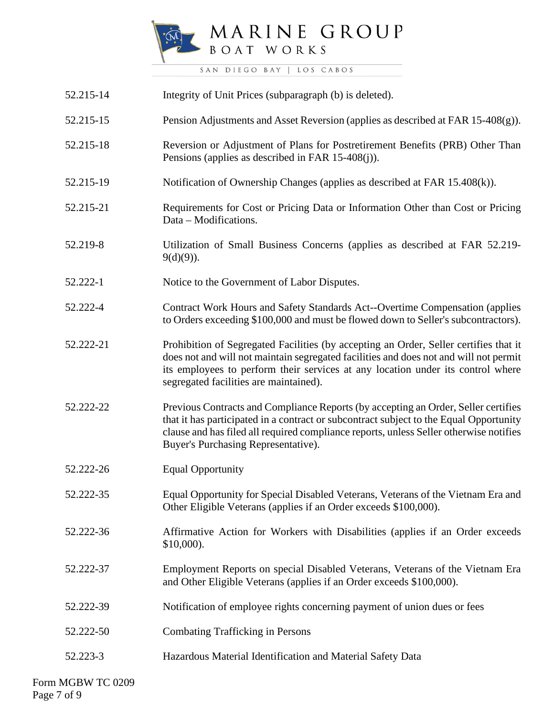

| 52.215-14 | Integrity of Unit Prices (subparagraph (b) is deleted).                                                                                                                                                                                                                                                       |
|-----------|---------------------------------------------------------------------------------------------------------------------------------------------------------------------------------------------------------------------------------------------------------------------------------------------------------------|
| 52.215-15 | Pension Adjustments and Asset Reversion (applies as described at FAR 15-408(g)).                                                                                                                                                                                                                              |
| 52.215-18 | Reversion or Adjustment of Plans for Postretirement Benefits (PRB) Other Than<br>Pensions (applies as described in FAR $15-408(j)$ ).                                                                                                                                                                         |
| 52.215-19 | Notification of Ownership Changes (applies as described at FAR 15.408(k)).                                                                                                                                                                                                                                    |
| 52.215-21 | Requirements for Cost or Pricing Data or Information Other than Cost or Pricing<br>Data - Modifications.                                                                                                                                                                                                      |
| 52.219-8  | Utilization of Small Business Concerns (applies as described at FAR 52.219-<br>$9(d)(9)$ ).                                                                                                                                                                                                                   |
| 52.222-1  | Notice to the Government of Labor Disputes.                                                                                                                                                                                                                                                                   |
| 52.222-4  | Contract Work Hours and Safety Standards Act--Overtime Compensation (applies<br>to Orders exceeding \$100,000 and must be flowed down to Seller's subcontractors).                                                                                                                                            |
| 52.222-21 | Prohibition of Segregated Facilities (by accepting an Order, Seller certifies that it<br>does not and will not maintain segregated facilities and does not and will not permit<br>its employees to perform their services at any location under its control where<br>segregated facilities are maintained).   |
| 52.222-22 | Previous Contracts and Compliance Reports (by accepting an Order, Seller certifies<br>that it has participated in a contract or subcontract subject to the Equal Opportunity<br>clause and has filed all required compliance reports, unless Seller otherwise notifies<br>Buyer's Purchasing Representative). |
| 52.222-26 | <b>Equal Opportunity</b>                                                                                                                                                                                                                                                                                      |
| 52.222-35 | Equal Opportunity for Special Disabled Veterans, Veterans of the Vietnam Era and<br>Other Eligible Veterans (applies if an Order exceeds \$100,000).                                                                                                                                                          |
| 52.222-36 | Affirmative Action for Workers with Disabilities (applies if an Order exceeds<br>$$10,000$ ).                                                                                                                                                                                                                 |
| 52.222-37 | Employment Reports on special Disabled Veterans, Veterans of the Vietnam Era<br>and Other Eligible Veterans (applies if an Order exceeds \$100,000).                                                                                                                                                          |
| 52.222-39 | Notification of employee rights concerning payment of union dues or fees                                                                                                                                                                                                                                      |
| 52.222-50 | <b>Combating Trafficking in Persons</b>                                                                                                                                                                                                                                                                       |
| 52.223-3  | Hazardous Material Identification and Material Safety Data                                                                                                                                                                                                                                                    |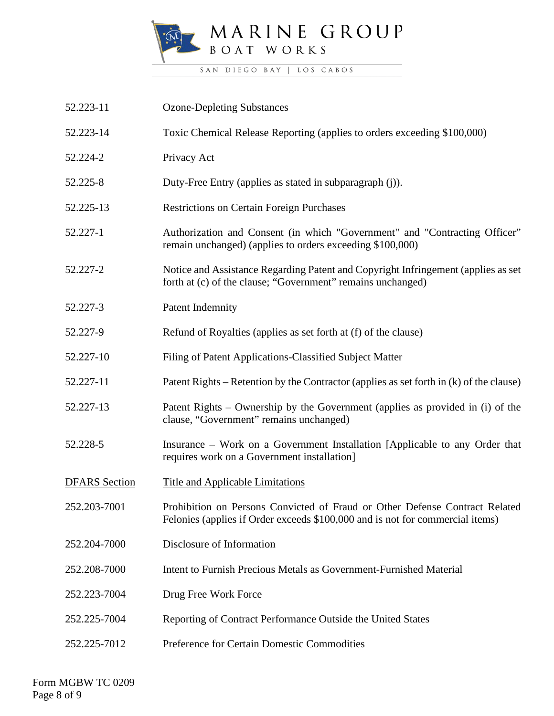

| 52.223-11            | <b>Ozone-Depleting Substances</b>                                                                                                                            |
|----------------------|--------------------------------------------------------------------------------------------------------------------------------------------------------------|
| 52.223-14            | Toxic Chemical Release Reporting (applies to orders exceeding \$100,000)                                                                                     |
| 52.224-2             | Privacy Act                                                                                                                                                  |
| 52.225-8             | Duty-Free Entry (applies as stated in subparagraph (j)).                                                                                                     |
| 52.225-13            | <b>Restrictions on Certain Foreign Purchases</b>                                                                                                             |
| 52.227-1             | Authorization and Consent (in which "Government" and "Contracting Officer"<br>remain unchanged) (applies to orders exceeding \$100,000)                      |
| 52.227-2             | Notice and Assistance Regarding Patent and Copyright Infringement (applies as set<br>forth at (c) of the clause; "Government" remains unchanged)             |
| 52.227-3             | Patent Indemnity                                                                                                                                             |
| 52.227-9             | Refund of Royalties (applies as set forth at (f) of the clause)                                                                                              |
| 52.227-10            | Filing of Patent Applications-Classified Subject Matter                                                                                                      |
| 52.227-11            | Patent Rights – Retention by the Contractor (applies as set forth in (k) of the clause)                                                                      |
| 52.227-13            | Patent Rights – Ownership by the Government (applies as provided in (i) of the<br>clause, "Government" remains unchanged)                                    |
| 52.228-5             | Insurance – Work on a Government Installation [Applicable to any Order that<br>requires work on a Government installation]                                   |
| <b>DFARS</b> Section | <b>Title and Applicable Limitations</b>                                                                                                                      |
| 252.203-7001         | Prohibition on Persons Convicted of Fraud or Other Defense Contract Related<br>Felonies (applies if Order exceeds \$100,000 and is not for commercial items) |
| 252.204-7000         | Disclosure of Information                                                                                                                                    |
| 252.208-7000         | Intent to Furnish Precious Metals as Government-Furnished Material                                                                                           |
| 252.223-7004         | Drug Free Work Force                                                                                                                                         |
| 252.225-7004         | Reporting of Contract Performance Outside the United States                                                                                                  |
| 252.225-7012         | Preference for Certain Domestic Commodities                                                                                                                  |